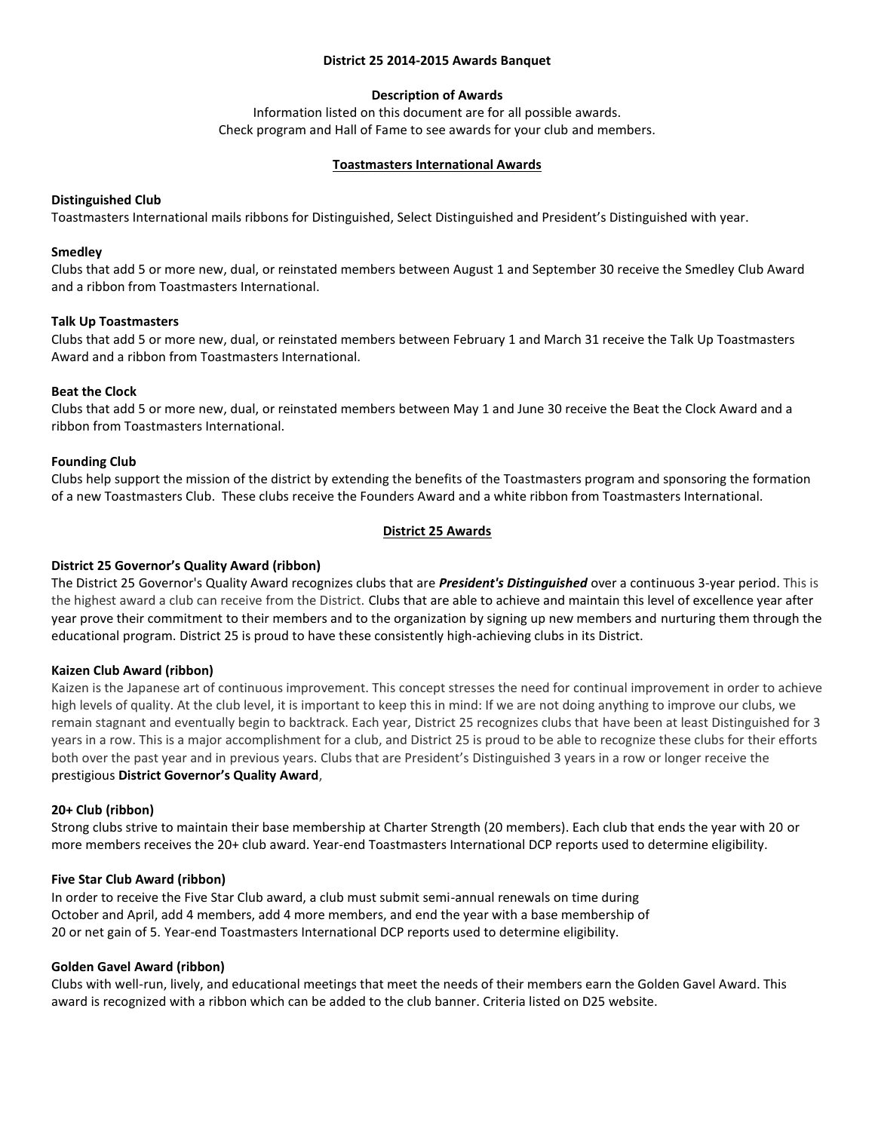#### **District 25 2014-2015 Awards Banquet**

# **Description of Awards**

Information listed on this document are for all possible awards. Check program and Hall of Fame to see awards for your club and members.

#### **Toastmasters International Awards**

## **Distinguished Club**

Toastmasters International mails ribbons for Distinguished, Select Distinguished and President's Distinguished with year.

#### **Smedley**

Clubs that add 5 or more new, dual, or reinstated members between August 1 and September 30 receive the Smedley Club Award and a ribbon from Toastmasters International.

## **Talk Up Toastmasters**

Clubs that add 5 or more new, dual, or reinstated members between February 1 and March 31 receive the Talk Up Toastmasters Award and a ribbon from Toastmasters International.

## **Beat the Clock**

Clubs that add 5 or more new, dual, or reinstated members between May 1 and June 30 receive the Beat the Clock Award and a ribbon from Toastmasters International.

## **Founding Club**

Clubs help support the mission of the district by extending the benefits of the Toastmasters program and sponsoring the formation of a new Toastmasters Club. These clubs receive the Founders Award and a white ribbon from Toastmasters International.

## **District 25 Awards**

# **District 25 Governor's Quality Award (ribbon)**

The District 25 Governor's Quality Award recognizes clubs that are *President's Distinguished* over a continuous 3-year period. This is the highest award a club can receive from the District. Clubs that are able to achieve and maintain this level of excellence year after year prove their commitment to their members and to the organization by signing up new members and nurturing them through the educational program. District 25 is proud to have these consistently high-achieving clubs in its District.

#### **Kaizen Club Award (ribbon)**

Kaizen is the Japanese art of continuous improvement. This concept stresses the need for continual improvement in order to achieve high levels of quality. At the club level, it is important to keep this in mind: If we are not doing anything to improve our clubs, we remain stagnant and eventually begin to backtrack. Each year, District 25 recognizes clubs that have been at least Distinguished for 3 years in a row. This is a major accomplishment for a club, and District 25 is proud to be able to recognize these clubs for their efforts both over the past year and in previous years. Clubs that are President's Distinguished 3 years in a row or longer receive the prestigious **[District Governor](http://d25toastmasters.org/halloffame/qualityaward.html)'s Quality Award**,

#### **20+ Club (ribbon)**

Strong clubs strive to maintain their base membership at Charter Strength (20 members). Each club that ends the year with 20 or more members receives the 20+ club award. Year-end Toastmasters International DCP reports used to determine eligibility.

#### **Five Star Club Award (ribbon)**

In order to receive the Five Star Club award, a club must submit semi-annual renewals on time during October and April, add 4 members, add 4 more members, and end the year with a base membership of 20 or net gain of 5. Year-end Toastmasters International DCP reports used to determine eligibility.

#### **Golden Gavel Award (ribbon)**

Clubs with well-run, lively, and educational meetings that meet the needs of their members earn the Golden Gavel Award. This award is recognized with a ribbon which can be added to the club banner. Criteria listed on D25 website.